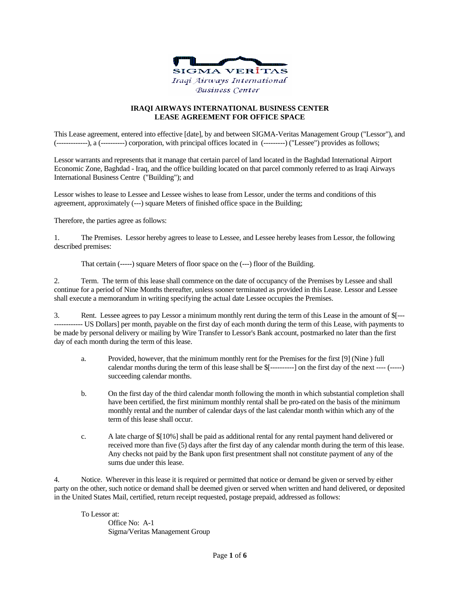

## **IRAQI AIRWAYS INTERNATIONAL BUSINESS CENTER LEASE AGREEMENT FOR OFFICE SPACE**

This Lease agreement, entered into effective [date], by and between SIGMA-Veritas Management Group ("Lessor"), and (-------------), a (----------) corporation, with principal offices located in (---------) ("Lessee") provides as follows;

Lessor warrants and represents that it manage that certain parcel of land located in the Baghdad International Airport Economic Zone, Baghdad - Iraq, and the office building located on that parcel commonly referred to as Iraqi Airways International Business Centre ("Building"); and

Lessor wishes to lease to Lessee and Lessee wishes to lease from Lessor, under the terms and conditions of this agreement, approximately (---) square Meters of finished office space in the Building;

Therefore, the parties agree as follows:

1. The Premises. Lessor hereby agrees to lease to Lessee, and Lessee hereby leases from Lessor, the following described premises:

That certain (-----) square Meters of floor space on the (---) floor of the Building.

2. Term. The term of this lease shall commence on the date of occupancy of the Premises by Lessee and shall continue for a period of Nine Months thereafter, unless sooner terminated as provided in this Lease. Lessor and Lessee shall execute a memorandum in writing specifying the actual date Lessee occupies the Premises.

3. Rent. Lessee agrees to pay Lessor a minimum monthly rent during the term of this Lease in the amount of \$[--- ------------ US Dollars] per month, payable on the first day of each month during the term of this Lease, with payments to be made by personal delivery or mailing by Wire Transfer to Lessor's Bank account, postmarked no later than the first day of each month during the term of this lease.

- a. Provided, however, that the minimum monthly rent for the Premises for the first [9] (Nine ) full calendar months during the term of this lease shall be \$[----------] on the first day of the next ---- (-----) succeeding calendar months.
- b. On the first day of the third calendar month following the month in which substantial completion shall have been certified, the first minimum monthly rental shall be pro-rated on the basis of the minimum monthly rental and the number of calendar days of the last calendar month within which any of the term of this lease shall occur.
- c. A late charge of \$[10%] shall be paid as additional rental for any rental payment hand delivered or received more than five (5) days after the first day of any calendar month during the term of this lease. Any checks not paid by the Bank upon first presentment shall not constitute payment of any of the sums due under this lease.

4. Notice. Wherever in this lease it is required or permitted that notice or demand be given or served by either party on the other, such notice or demand shall be deemed given or served when written and hand delivered, or deposited in the United States Mail, certified, return receipt requested, postage prepaid, addressed as follows:

To Lessor at:

Office No: A-1 Sigma/Veritas Management Group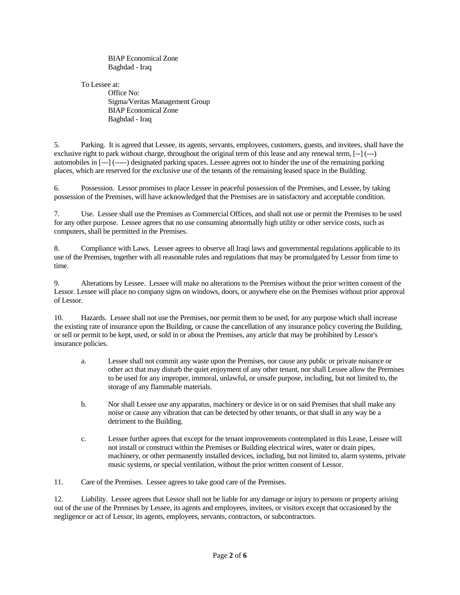BIAP Economical Zone Baghdad - Iraq

To Lessee at:

Office No: Sigma/Veritas Management Group BIAP Economical Zone Baghdad - Iraq

5. Parking. It is agreed that Lessee, its agents, servants, employees, customers, guests, and invitees, shall have the exclusive right to park without charge, throughout the original term of this lease and any renewal term, [--] (---) automobiles in [---] (-----) designated parking spaces. Lessee agrees not to hinder the use of the remaining parking places, which are reserved for the exclusive use of the tenants of the remaining leased space in the Building.

6. Possession. Lessor promises to place Lessee in peaceful possession of the Premises, and Lessee, by taking possession of the Premises, will have acknowledged that the Premises are in satisfactory and acceptable condition.

7. Use. Lessee shall use the Premises as Commercial Offices, and shall not use or permit the Premises to be used for any other purpose. Lessee agrees that no use consuming abnormally high utility or other service costs, such as computers, shall be permitted in the Premises.

8. Compliance with Laws. Lessee agrees to observe all Iraqi laws and governmental regulations applicable to its use of the Premises, together with all reasonable rules and regulations that may be promulgated by Lessor from time to time.

9. Alterations by Lessee. Lessee will make no alterations to the Premises without the prior written consent of the Lessor. Lessee will place no company signs on windows, doors, or anywhere else on the Premises without prior approval of Lessor.

10. Hazards. Lessee shall not use the Premises, nor permit them to be used, for any purpose which shall increase the existing rate of insurance upon the Building, or cause the cancellation of any insurance policy covering the Building, or sell or permit to be kept, used, or sold in or about the Premises, any article that may be prohibited by Lessor's insurance policies.

- a. Lessee shall not commit any waste upon the Premises, nor cause any public or private nuisance or other act that may disturb the quiet enjoyment of any other tenant, nor shall Lessee allow the Premises to be used for any improper, immoral, unlawful, or unsafe purpose, including, but not limited to, the storage of any flammable materials.
- b. Nor shall Lessee use any apparatus, machinery or device in or on said Premises that shall make any noise or cause any vibration that can be detected by other tenants, or that shall in any way be a detriment to the Building.
- c. Lessee further agrees that except for the tenant improvements contemplated in this Lease, Lessee will not install or construct within the Premises or Building electrical wires, water or drain pipes, machinery, or other permanently installed devices, including, but not limited to, alarm systems, private music systems, or special ventilation, without the prior written consent of Lessor.

11. Care of the Premises. Lessee agrees to take good care of the Premises.

12. Liability. Lessee agrees that Lessor shall not be liable for any damage or injury to persons or property arising out of the use of the Premises by Lessee, its agents and employees, invitees, or visitors except that occasioned by the negligence or act of Lessor, its agents, employees, servants, contractors, or subcontractors.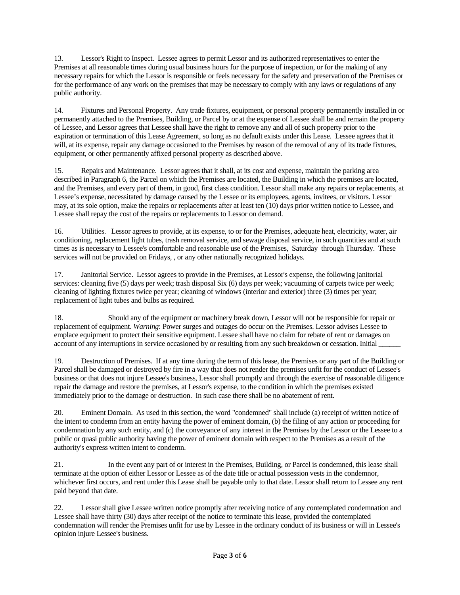13. Lessor's Right to Inspect. Lessee agrees to permit Lessor and its authorized representatives to enter the Premises at all reasonable times during usual business hours for the purpose of inspection, or for the making of any necessary repairs for which the Lessor is responsible or feels necessary for the safety and preservation of the Premises or for the performance of any work on the premises that may be necessary to comply with any laws or regulations of any public authority.

14. Fixtures and Personal Property. Any trade fixtures, equipment, or personal property permanently installed in or permanently attached to the Premises, Building, or Parcel by or at the expense of Lessee shall be and remain the property of Lessee, and Lessor agrees that Lessee shall have the right to remove any and all of such property prior to the expiration or termination of this Lease Agreement, so long as no default exists under this Lease. Lessee agrees that it will, at its expense, repair any damage occasioned to the Premises by reason of the removal of any of its trade fixtures, equipment, or other permanently affixed personal property as described above.

15. Repairs and Maintenance. Lessor agrees that it shall, at its cost and expense, maintain the parking area described in Paragraph 6, the Parcel on which the Premises are located, the Building in which the premises are located, and the Premises, and every part of them, in good, first class condition. Lessor shall make any repairs or replacements, at Lessee's expense, necessitated by damage caused by the Lessee or its employees, agents, invitees, or visitors. Lessor may, at its sole option, make the repairs or replacements after at least ten (10) days prior written notice to Lessee, and Lessee shall repay the cost of the repairs or replacements to Lessor on demand.

16. Utilities. Lessor agrees to provide, at its expense, to or for the Premises, adequate heat, electricity, water, air conditioning, replacement light tubes, trash removal service, and sewage disposal service, in such quantities and at such times as is necessary to Lessee's comfortable and reasonable use of the Premises, Saturday through Thursday. These services will not be provided on Fridays, , or any other nationally recognized holidays.

17. Janitorial Service. Lessor agrees to provide in the Premises, at Lessor's expense, the following janitorial services: cleaning five (5) days per week; trash disposal Six (6) days per week; vacuuming of carpets twice per week; cleaning of lighting fixtures twice per year; cleaning of windows (interior and exterior) three (3) times per year; replacement of light tubes and bulbs as required.

18. Should any of the equipment or machinery break down, Lessor will not be responsible for repair or replacement of equipment. *Warning*: Power surges and outages do occur on the Premises. Lessor advises Lessee to emplace equipment to protect their sensitive equipment. Lessee shall have no claim for rebate of rent or damages on account of any interruptions in service occasioned by or resulting from any such breakdown or cessation. Initial

19. Destruction of Premises. If at any time during the term of this lease, the Premises or any part of the Building or Parcel shall be damaged or destroyed by fire in a way that does not render the premises unfit for the conduct of Lessee's business or that does not injure Lessee's business, Lessor shall promptly and through the exercise of reasonable diligence repair the damage and restore the premises, at Lessor's expense, to the condition in which the premises existed immediately prior to the damage or destruction. In such case there shall be no abatement of rent.

20. Eminent Domain. As used in this section, the word "condemned" shall include (a) receipt of written notice of the intent to condemn from an entity having the power of eminent domain, (b) the filing of any action or proceeding for condemnation by any such entity, and (c) the conveyance of any interest in the Premises by the Lessor or the Lessee to a public or quasi public authority having the power of eminent domain with respect to the Premises as a result of the authority's express written intent to condemn.

21. In the event any part of or interest in the Premises, Building, or Parcel is condemned, this lease shall terminate at the option of either Lessor or Lessee as of the date title or actual possession vests in the condemnor, whichever first occurs, and rent under this Lease shall be payable only to that date. Lessor shall return to Lessee any rent paid beyond that date.

22. Lessor shall give Lessee written notice promptly after receiving notice of any contemplated condemnation and Lessee shall have thirty (30) days after receipt of the notice to terminate this lease, provided the contemplated condemnation will render the Premises unfit for use by Lessee in the ordinary conduct of its business or will in Lessee's opinion injure Lessee's business.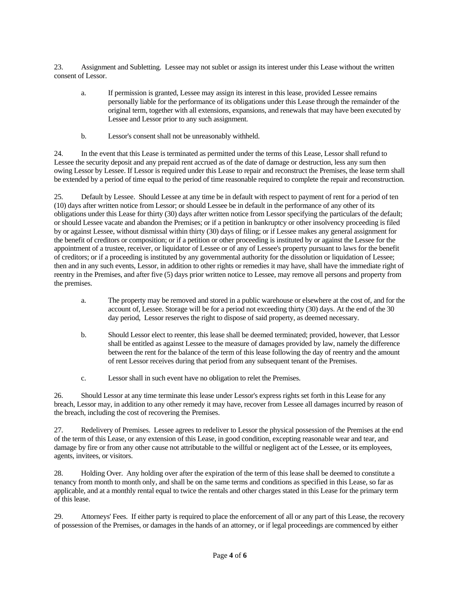23. Assignment and Subletting. Lessee may not sublet or assign its interest under this Lease without the written consent of Lessor.

- a. If permission is granted, Lessee may assign its interest in this lease, provided Lessee remains personally liable for the performance of its obligations under this Lease through the remainder of the original term, together with all extensions, expansions, and renewals that may have been executed by Lessee and Lessor prior to any such assignment.
- b. Lessor's consent shall not be unreasonably withheld.

24. In the event that this Lease is terminated as permitted under the terms of this Lease, Lessor shall refund to Lessee the security deposit and any prepaid rent accrued as of the date of damage or destruction, less any sum then owing Lessor by Lessee. If Lessor is required under this Lease to repair and reconstruct the Premises, the lease term shall be extended by a period of time equal to the period of time reasonable required to complete the repair and reconstruction.

25. Default by Lessee. Should Lessee at any time be in default with respect to payment of rent for a period of ten (10) days after written notice from Lessor; or should Lessee be in default in the performance of any other of its obligations under this Lease for thirty (30) days after written notice from Lessor specifying the particulars of the default; or should Lessee vacate and abandon the Premises; or if a petition in bankruptcy or other insolvency proceeding is filed by or against Lessee, without dismissal within thirty (30) days of filing; or if Lessee makes any general assignment for the benefit of creditors or composition; or if a petition or other proceeding is instituted by or against the Lessee for the appointment of a trustee, receiver, or liquidator of Lessee or of any of Lessee's property pursuant to laws for the benefit of creditors; or if a proceeding is instituted by any governmental authority for the dissolution or liquidation of Lessee; then and in any such events, Lessor, in addition to other rights or remedies it may have, shall have the immediate right of reentry in the Premises, and after five (5) days prior written notice to Lessee, may remove all persons and property from the premises.

- a. The property may be removed and stored in a public warehouse or elsewhere at the cost of, and for the account of, Lessee. Storage will be for a period not exceeding thirty (30) days. At the end of the 30 day period, Lessor reserves the right to dispose of said property, as deemed necessary.
- b. Should Lessor elect to reenter, this lease shall be deemed terminated; provided, however, that Lessor shall be entitled as against Lessee to the measure of damages provided by law, namely the difference between the rent for the balance of the term of this lease following the day of reentry and the amount of rent Lessor receives during that period from any subsequent tenant of the Premises.
- c. Lessor shall in such event have no obligation to relet the Premises.

26. Should Lessor at any time terminate this lease under Lessor's express rights set forth in this Lease for any breach, Lessor may, in addition to any other remedy it may have, recover from Lessee all damages incurred by reason of the breach, including the cost of recovering the Premises.

27. Redelivery of Premises. Lessee agrees to redeliver to Lessor the physical possession of the Premises at the end of the term of this Lease, or any extension of this Lease, in good condition, excepting reasonable wear and tear, and damage by fire or from any other cause not attributable to the willful or negligent act of the Lessee, or its employees, agents, invitees, or visitors.

28. Holding Over. Any holding over after the expiration of the term of this lease shall be deemed to constitute a tenancy from month to month only, and shall be on the same terms and conditions as specified in this Lease, so far as applicable, and at a monthly rental equal to twice the rentals and other charges stated in this Lease for the primary term of this lease.

29. Attorneys' Fees. If either party is required to place the enforcement of all or any part of this Lease, the recovery of possession of the Premises, or damages in the hands of an attorney, or if legal proceedings are commenced by either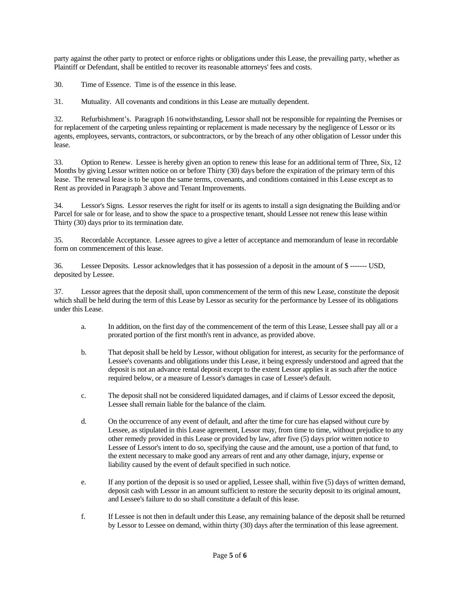party against the other party to protect or enforce rights or obligations under this Lease, the prevailing party, whether as Plaintiff or Defendant, shall be entitled to recover its reasonable attorneys' fees and costs.

30. Time of Essence. Time is of the essence in this lease.

31. Mutuality. All covenants and conditions in this Lease are mutually dependent.

32. Refurbishment's. Paragraph 16 notwithstanding, Lessor shall not be responsible for repainting the Premises or for replacement of the carpeting unless repainting or replacement is made necessary by the negligence of Lessor or its agents, employees, servants, contractors, or subcontractors, or by the breach of any other obligation of Lessor under this lease.

33. Option to Renew. Lessee is hereby given an option to renew this lease for an additional term of Three, Six, 12 Months by giving Lessor written notice on or before Thirty (30) days before the expiration of the primary term of this lease. The renewal lease is to be upon the same terms, covenants, and conditions contained in this Lease except as to Rent as provided in Paragraph 3 above and Tenant Improvements.

34. Lessor's Signs. Lessor reserves the right for itself or its agents to install a sign designating the Building and/or Parcel for sale or for lease, and to show the space to a prospective tenant, should Lessee not renew this lease within Thirty (30) days prior to its termination date.

35. Recordable Acceptance. Lessee agrees to give a letter of acceptance and memorandum of lease in recordable form on commencement of this lease.

36. Lessee Deposits. Lessor acknowledges that it has possession of a deposit in the amount of \$ ------- USD, deposited by Lessee.

37. Lessor agrees that the deposit shall, upon commencement of the term of this new Lease, constitute the deposit which shall be held during the term of this Lease by Lessor as security for the performance by Lessee of its obligations under this Lease.

- a. In addition, on the first day of the commencement of the term of this Lease, Lessee shall pay all or a prorated portion of the first month's rent in advance, as provided above.
- b. That deposit shall be held by Lessor, without obligation for interest, as security for the performance of Lessee's covenants and obligations under this Lease, it being expressly understood and agreed that the deposit is not an advance rental deposit except to the extent Lessor applies it as such after the notice required below, or a measure of Lessor's damages in case of Lessee's default.
- c. The deposit shall not be considered liquidated damages, and if claims of Lessor exceed the deposit, Lessee shall remain liable for the balance of the claim.
- d. On the occurrence of any event of default, and after the time for cure has elapsed without cure by Lessee, as stipulated in this Lease agreement, Lessor may, from time to time, without prejudice to any other remedy provided in this Lease or provided by law, after five (5) days prior written notice to Lessee of Lessor's intent to do so, specifying the cause and the amount, use a portion of that fund, to the extent necessary to make good any arrears of rent and any other damage, injury, expense or liability caused by the event of default specified in such notice.
- e. If any portion of the deposit is so used or applied, Lessee shall, within five (5) days of written demand, deposit cash with Lessor in an amount sufficient to restore the security deposit to its original amount, and Lessee's failure to do so shall constitute a default of this lease.
- f. If Lessee is not then in default under this Lease, any remaining balance of the deposit shall be returned by Lessor to Lessee on demand, within thirty (30) days after the termination of this lease agreement.